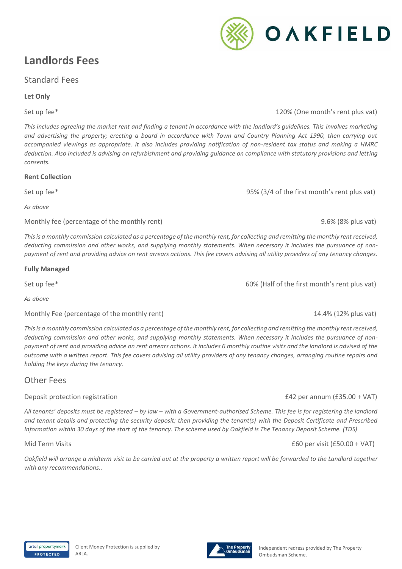## **Landlords Fees**

## Standard Fees

## **Let Only**

## Set up fee\* 120% (One month's rent plus vat)

*This includes agreeing the market rent and finding a tenant in accordance with the landlord's guidelines. This involves marketing and advertising the property; erecting a board in accordance with Town and Country Planning Act 1990, then carrying out accompanied viewings as appropriate. It also includes providing notification of non-resident tax status and making a HMRC deduction. Also included is advising on refurbishment and providing guidance on compliance with statutory provisions and letting consents.*

## **Rent Collection**

Set up fee\* Set up fee the first month's rent plus vat) which is the first month's rent plus vat)

*As above* 

Monthly fee (percentage of the monthly rent) 9.6% (8% plus vat)

*This is a monthly commission calculated as a percentage of the monthly rent, for collecting and remitting the monthly rent received, deducting commission and other works, and supplying monthly statements. When necessary it includes the pursuance of nonpayment of rent and providing advice on rent arrears actions. This fee covers advising all utility providers of any tenancy changes.*

## **Fully Managed**

Set up fee\* 60% (Half of the first month's rent plus vat)

*As above* 

Monthly Fee (percentage of the monthly rent) 14.4% (12% plus vat)

*This is a monthly commission calculated as a percentage of the monthly rent, for collecting and remitting the monthly rent received, deducting commission and other works, and supplying monthly statements. When necessary it includes the pursuance of nonpayment of rent and providing advice on rent arrears actions. It includes 6 monthly routine visits and the landlord is advised of the outcome with a written report. This fee covers advising all utility providers of any tenancy changes, arranging routine repairs and holding the keys during the tenancy.*

## Other Fees

## Deposit protection registration £42 per annum (£35.00 + VAT)

*All tenants' deposits must be registered – by law – with a Government-authorised Scheme. This fee is for registering the landlord and tenant details and protecting the security deposit; then providing the tenant(s) with the Deposit Certificate and Prescribed Information within 30 days of the start of the tenancy. The scheme used by Oakfield is The Tenancy Deposit Scheme. (TDS)*

## Mid Term Visits **EGO** per visit (£50.00 + VAT)

*Oakfield will arrange a midterm visit to be carried out at the property a written report will be forwarded to the Landlord together with any recommendations..*



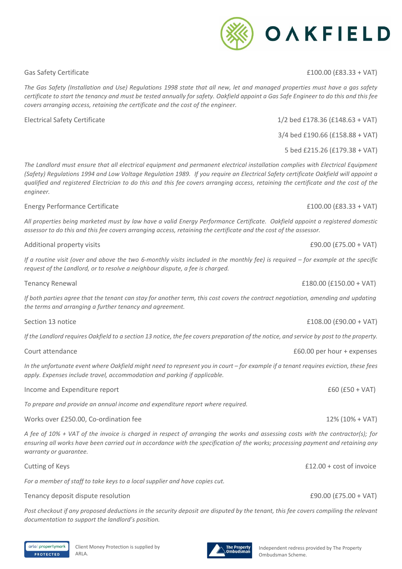Client Money Protection is supplied by

Gas Safety Certificate  $\qquad 2100.00$  (£83.33 + VAT)

*The Gas Safety (Installation and Use) Regulations 1998 state that all new, let and managed properties must have a gas safety certificate to start the tenancy and must be tested annually for safety. Oakfield appoint a Gas Safe Engineer to do this and this fee covers arranging access, retaining the certificate and the cost of the engineer.*

Electrical Safety Certificate 1/2 bed £178.36 (£148.63 + VAT)

*The Landlord must ensure that all electrical equipment and permanent electrical installation complies with Electrical Equipment (Safety) Regulations 1994 and Low Voltage Regulation 1989. If you require an Electrical Safety certificate Oakfield will appoint a qualified and registered Electrician to do this and this fee covers arranging access, retaining the certificate and the cost of the engineer.*

## Energy Performance Certificate £100.00 (£83.33 + VAT)

*All properties being marketed must by law have a valid Energy Performance Certificate. Oakfield appoint a registered domestic assessor to do this and this fee covers arranging access, retaining the certificate and the cost of the assessor.*

Additional property visits **E90.00** (£75.00 + VAT)

*If a routine visit (over and above the two 6-monthly visits included in the monthly fee) is required – for example at the specific request of the Landlord, or to resolve a neighbour dispute, a fee is charged.*

Tenancy Renewal **E180.00** + VAT)

*If both parties agree that the tenant can stay for another term, this cost covers the contract negotiation, amending and updating the terms and arranging a further tenancy and agreement.* 

Section 13 notice  $\angle$  E108.00 (£90.00 + VAT)

*If the Landlord requires Oakfield to a section 13 notice, the fee covers preparation of the notice, and service by post to the property.*

In the unfortunate event where Oakfield might need to represent you in court – for example if a tenant requires eviction, these fees *apply. Expenses include travel, accommodation and parking if applicable.*

Income and Expenditure report **EGO** (£50 + VAT)

*To prepare and provide an annual income and expenditure report where required.*

Works over £250.00, Co-ordination fee 12% (10% + VAT)

*A fee of 10% + VAT of the invoice is charged in respect of arranging the works and assessing costs with the contractor(s); for*  ensuring all works have been carried out in accordance with the specification of the works; processing payment and retaining any *warranty or guarantee.*

Cutting of Keys **E12.00** + cost of invoice

*For a member of staff to take keys to a local supplier and have copies cut.*

## Tenancy deposit dispute resolution **E90.00** (£75.00 + VAT)

Post checkout if any proposed deductions in the security deposit are disputed by the tenant, this fee covers compiling the relevant *documentation to support the landlord's position.*

3/4 bed £190.66 (£158.88 + VAT)

5 bed £215.26 (£179.38 + VAT)

Court attendance **E60.00** per hour + expenses

# OAKFIELD

### arla | propertymark **PROTECTED** ARLA.